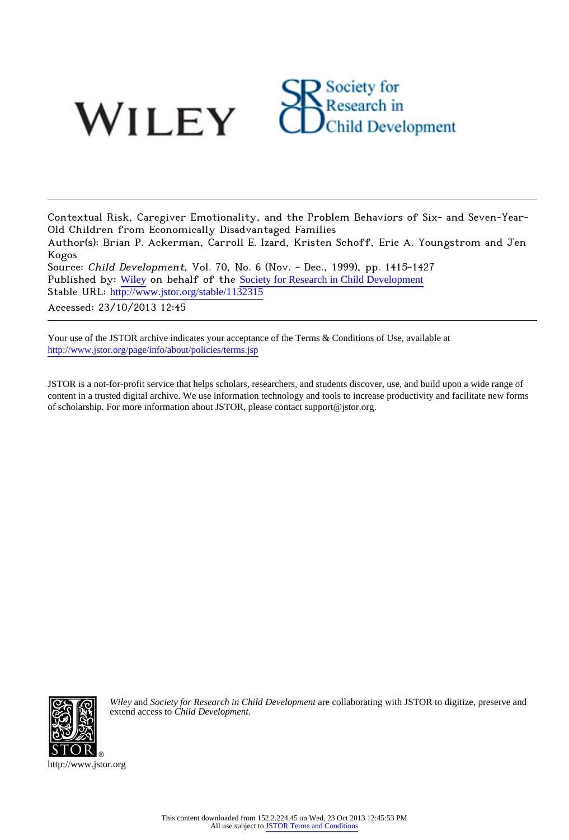# Society for<br>Research in WILEY Child Development

Contextual Risk, Caregiver Emotionality, and the Problem Behaviors of Six- and Seven-Year-Old Children from Economically Disadvantaged Families

Author(s): Brian P. Ackerman, Carroll E. Izard, Kristen Schoff, Eric A. Youngstrom and Jen Kogos

Source: Child Development, Vol. 70, No. 6 (Nov. - Dec., 1999), pp. 1415-1427 Published by: [Wiley](http://www.jstor.org/action/showPublisher?publisherCode=black) on behalf of the [Society for Research in Child Development](http://www.jstor.org/action/showPublisher?publisherCode=srcd) Stable URL: [http://www.jstor.org/stable/1132315](http://www.jstor.org/stable/1132315?origin=JSTOR-pdf)

Accessed: 23/10/2013 12:45

Your use of the JSTOR archive indicates your acceptance of the Terms & Conditions of Use, available at <http://www.jstor.org/page/info/about/policies/terms.jsp>

JSTOR is a not-for-profit service that helps scholars, researchers, and students discover, use, and build upon a wide range of content in a trusted digital archive. We use information technology and tools to increase productivity and facilitate new forms of scholarship. For more information about JSTOR, please contact support@jstor.org.



*Wiley* and *Society for Research in Child Development* are collaborating with JSTOR to digitize, preserve and extend access to *Child Development.*

http://www.jstor.org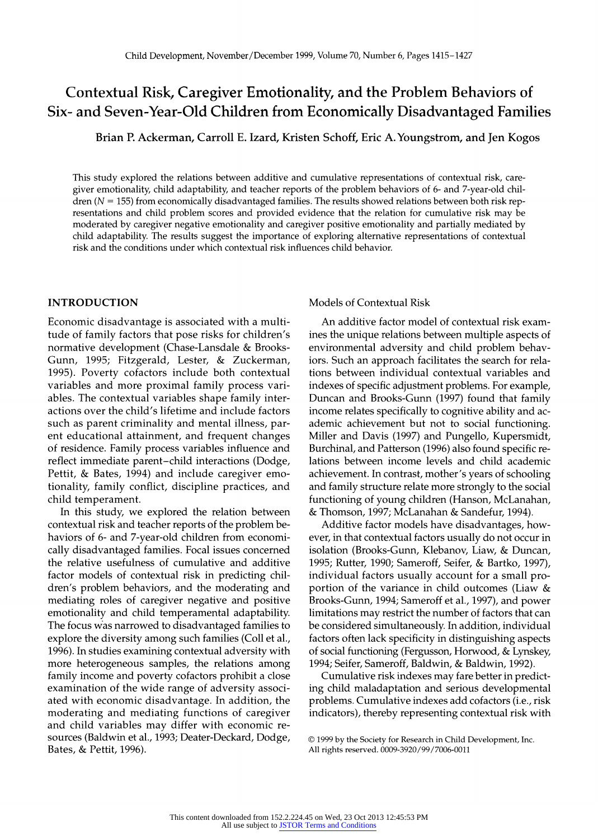# **Contextual Risk, Caregiver Emotionality, and the Problem Behaviors of Six- and Seven-Year-Old Children from Economically Disadvantaged Families**

**Brian P. Ackerman, Carroll E. Izard, Kristen Schoff, Eric A. Youngstrom, and Jen Kogos** 

**This study explored the relations between additive and cumulative representations of contextual risk, caregiver emotionality, child adaptability, and teacher reports of the problem behaviors of 6- and 7-year-old children (N = 155) from economically disadvantaged families. The results showed relations between both risk representations and child problem scores and provided evidence that the relation for cumulative risk may be moderated by caregiver negative emotionality and caregiver positive emotionality and partially mediated by child adaptability. The results suggest the importance of exploring alternative representations of contextual risk and the conditions under which contextual risk influences child behavior.** 

# **INTRODUCTION**

**Economic disadvantage is associated with a multitude of family factors that pose risks for children's normative development (Chase-Lansdale & Brooks-Gunn, 1995; Fitzgerald, Lester, & Zuckerman, 1995). Poverty cofactors include both contextual variables and more proximal family process variables. The contextual variables shape family interactions over the child's lifetime and include factors such as parent criminality and mental illness, parent educational attainment, and frequent changes of residence. Family process variables influence and reflect immediate parent-child interactions (Dodge, Pettit, & Bates, 1994) and include caregiver emotionality, family conflict, discipline practices, and child temperament.** 

**In this study, we explored the relation between contextual risk and teacher reports of the problem behaviors of 6- and 7-year-old children from economically disadvantaged families. Focal issues concerned the relative usefulness of cumulative and additive factor models of contextual risk in predicting children's problem behaviors, and the moderating and mediating roles of caregiver negative and positive emotionality and child temperamental adaptability. The focus was narrowed to disadvantaged families to explore the diversity among such families (Coll et al., 1996). In studies examining contextual adversity with more heterogeneous samples, the relations among family income and poverty cofactors prohibit a close examination of the wide range of adversity associated with economic disadvantage. In addition, the moderating and mediating functions of caregiver and child variables may differ with economic resources (Baldwin et al., 1993; Deater-Deckard, Dodge, Bates, & Pettit, 1996).** 

**Models of Contextual Risk** 

**An additive factor model of contextual risk examines the unique relations between multiple aspects of environmental adversity and child problem behaviors. Such an approach facilitates the search for relations between individual contextual variables and indexes of specific adjustment problems. For example, Duncan and Brooks-Gunn (1997) found that family income relates specifically to cognitive ability and academic achievement but not to social functioning. Miller and Davis (1997) and Pungello, Kupersmidt, Burchinal, and Patterson (1996) also found specific relations between income levels and child academic achievement. In contrast, mother's years of schooling and family structure relate more strongly to the social functioning of young children (Hanson, McLanahan, & Thomson, 1997; McLanahan & Sandefur, 1994).** 

**Additive factor models have disadvantages, however, in that contextual factors usually do not occur in isolation (Brooks-Gunn, Klebanov, Liaw, & Duncan, 1995; Rutter, 1990; Sameroff, Seifer, & Bartko, 1997), individual factors usually account for a small proportion of the variance in child outcomes (Liaw & Brooks-Gunn, 1994; Sameroff et al., 1997), and power limitations may restrict the number of factors that can be considered simultaneously. In addition, individual factors often lack specificity in distinguishing aspects of social functioning (Fergusson, Horwood, & Lynskey, 1994; Seifer, Sameroff, Baldwin, & Baldwin, 1992).** 

**Cumulative risk indexes may fare better in predicting child maladaptation and serious developmental problems. Cumulative indexes add cofactors (i.e., risk indicators), thereby representing contextual risk with** 

**<sup>?</sup> 1999 by the Society for Research in Child Development, Inc. All rights reserved. 0009-3920/99/7006-0011**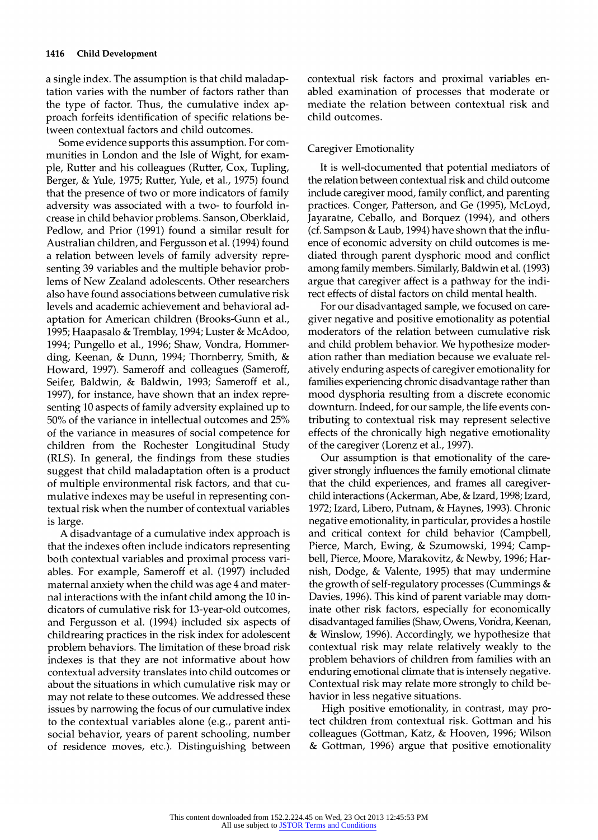**a single index. The assumption is that child maladaptation varies with the number of factors rather than the type of factor. Thus, the cumulative index approach forfeits identification of specific relations between contextual factors and child outcomes.** 

**Some evidence supports this assumption. For communities in London and the Isle of Wight, for example, Rutter and his colleagues (Rutter, Cox, Tupling, Berger, & Yule, 1975; Rutter, Yule, et al., 1975) found that the presence of two or more indicators of family adversity was associated with a two- to fourfold increase in child behavior problems. Sanson, Oberklaid, Pedlow, and Prior (1991) found a similar result for Australian children, and Fergusson et al. (1994) found a relation between levels of family adversity representing 39 variables and the multiple behavior problems of New Zealand adolescents. Other researchers also have found associations between cumulative risk levels and academic achievement and behavioral adaptation for American children (Brooks-Gunn et al., 1995; Haapasalo & Tremblay, 1994; Luster & McAdoo, 1994; Pungello et al., 1996; Shaw, Vondra, Hommerding, Keenan, & Dunn, 1994; Thornberry, Smith, & Howard, 1997). Sameroff and colleagues (Sameroff, Seifer, Baldwin, & Baldwin, 1993; Sameroff et al., 1997), for instance, have shown that an index representing 10 aspects of family adversity explained up to 50% of the variance in intellectual outcomes and 25% of the variance in measures of social competence for children from the Rochester Longitudinal Study (RLS). In general, the findings from these studies suggest that child maladaptation often is a product of multiple environmental risk factors, and that cumulative indexes may be useful in representing contextual risk when the number of contextual variables is large.** 

**A disadvantage of a cumulative index approach is that the indexes often include indicators representing both contextual variables and proximal process variables. For example, Sameroff et al. (1997) included maternal anxiety when the child was age 4 and maternal interactions with the infant child among the 10 indicators of cumulative risk for 13-year-old outcomes, and Fergusson et al. (1994) included six aspects of childrearing practices in the risk index for adolescent problem behaviors. The limitation of these broad risk indexes is that they are not informative about how contextual adversity translates into child outcomes or about the situations in which cumulative risk may or may not relate to these outcomes. We addressed these issues by narrowing the focus of our cumulative index to the contextual variables alone (e.g., parent antisocial behavior, years of parent schooling, number of residence moves, etc.). Distinguishing between**  **contextual risk factors and proximal variables enabled examination of processes that moderate or mediate the relation between contextual risk and child outcomes.** 

# **Caregiver Emotionality**

**It is well-documented that potential mediators of the relation between contextual risk and child outcome include caregiver mood, family conflict, and parenting practices. Conger, Patterson, and Ge (1995), McLoyd, Jayaratne, Ceballo, and Borquez (1994), and others (cf. Sampson & Laub, 1994) have shown that the influence of economic adversity on child outcomes is mediated through parent dysphoric mood and conflict among family members. Similarly, Baldwin et al. (1993) argue that caregiver affect is a pathway for the indirect effects of distal factors on child mental health.** 

**For our disadvantaged sample, we focused on caregiver negative and positive emotionality as potential moderators of the relation between cumulative risk and child problem behavior. We hypothesize moderation rather than mediation because we evaluate relatively enduring aspects of caregiver emotionality for families experiencing chronic disadvantage rather than mood dysphoria resulting from a discrete economic downturn. Indeed, for our sample, the life events contributing to contextual risk may represent selective effects of the chronically high negative emotionality of the caregiver (Lorenz et al., 1997).** 

**Our assumption is that emotionality of the caregiver strongly influences the family emotional climate that the child experiences, and frames all caregiverchild interactions (Ackerman, Abe, & Izard, 1998; Izard, 1972; Izard, Libero, Putnam, & Haynes, 1993). Chronic negative emotionality, in particular, provides a hostile and critical context for child behavior (Campbell, Pierce, March, Ewing, & Szumowski, 1994; Campbell, Pierce, Moore, Marakovitz, & Newby, 1996; Harnish, Dodge, & Valente, 1995) that may undermine the growth of self-regulatory processes (Cummings & Davies, 1996). This kind of parent variable may dominate other risk factors, especially for economically disadvantaged families (Shaw, Owens, Voridra, Keenan, & Winslow, 1996). Accordingly, we hypothesize that contextual risk may relate relatively weakly to the problem behaviors of children from families with an enduring emotional climate that is intensely negative. Contextual risk may relate more strongly to child behavior in less negative situations.** 

**High positive emotionality, in contrast, may protect children from contextual risk. Gottman and his colleagues (Gottman, Katz, & Hooven, 1996; Wilson & Gottman, 1996) argue that positive emotionality**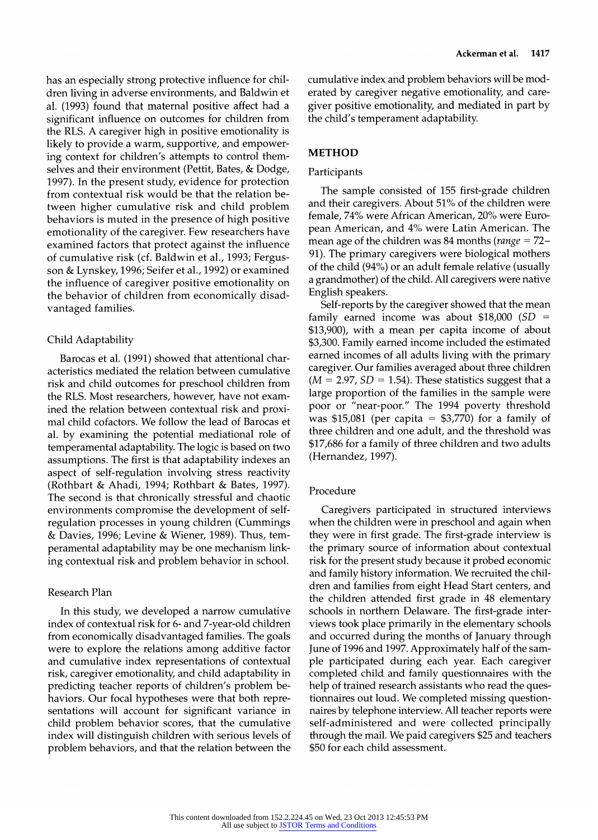**has an especially strong protective influence for children living in adverse environments, and Baldwin et al. (1993) found that maternal positive affect had a significant influence on outcomes for children from the RLS. A caregiver high in positive emotionality is likely to provide a warm, supportive, and empowering context for children's attempts to control themselves and their environment (Pettit, Bates, & Dodge, 1997). In the present study, evidence for protection from contextual risk would be that the relation between higher cumulative risk and child problem behaviors is muted in the presence of high positive emotionality of the caregiver. Few researchers have examined factors that protect against the influence of cumulative risk (cf. Baldwin et al., 1993; Fergusson & Lynskey, 1996; Seifer et al., 1992) or examined the influence of caregiver positive emotionality on the behavior of children from economically disadvantaged families.** 

# **Child Adaptability**

**Barocas et al. (1991) showed that attentional characteristics mediated the relation between cumulative risk and child outcomes for preschool children from the RLS. Most researchers, however, have not examined the relation between contextual risk and proximal child cofactors. We follow the lead of Barocas et al. by examining the potential mediational role of temperamental adaptability. The logic is based on two assumptions. The first is that adaptability indexes an aspect of self-regulation involving stress reactivity (Rothbart & Ahadi, 1994; Rothbart & Bates, 1997). The second is that chronically stressful and chaotic environments compromise the development of selfregulation processes in young children (Cummings & Davies, 1996; Levine & Wiener, 1989). Thus, temperamental adaptability may be one mechanism linking contextual risk and problem behavior in school.** 

#### **Research Plan**

**In this study, we developed a narrow cumulative index of contextual risk for 6- and 7-year-old children from economically disadvantaged families. The goals were to explore the relations among additive factor and cumulative index representations of contextual risk, caregiver emotionality, and child adaptability in predicting teacher reports of children's problem behaviors. Our focal hypotheses were that both representations will account for significant variance in child problem behavior scores, that the cumulative index will distinguish children with serious levels of problem behaviors, and that the relation between the**  **cumulative index and problem behaviors will be moderated by caregiver negative emotionality, and caregiver positive emotionality, and mediated in part by the child's temperament adaptability.** 

# **METHOD**

#### **Participants**

**The sample consisted of 155 first-grade children and their caregivers. About 51% of the children were female, 74% were African American, 20% were European American, and 4% were Latin American. The mean age of the children was 84 months (range = 72- 91). The primary caregivers were biological mothers of the child (94%) or an adult female relative (usually a grandmother) of the child. All caregivers were native English speakers.** 

**Self-reports by the caregiver showed that the mean family earned income was about \$18,000 (SD = \$13,900), with a mean per capita income of about \$3,300. Family earned income included the estimated earned incomes of all adults living with the primary caregiver. Our families averaged about three children**   $(M = 2.97, SD = 1.54)$ . These statistics suggest that a **large proportion of the families in the sample were poor or "near-poor." The 1994 poverty threshold was \$15,081 (per capita = \$3,770) for a family of three children and one adult, and the threshold was \$17,686 for a family of three children and two adults (Hernandez, 1997).** 

#### **Procedure**

**Caregivers participated in structured interviews when the children were in preschool and again when they were in first grade. The first-grade interview is the primary source of information about contextual risk for the present study because it probed economic and family history information. We recruited the children and families from eight Head Start centers, and the children attended first grade in 48 elementary schools in northern Delaware. The first-grade interviews took place primarily in the elementary schools and occurred during the months of January through June of 1996 and 1997. Approximately half of the sample participated during each year. Each caregiver completed child and family questionnaires with the help of trained research assistants who read the questionnaires out loud. We completed missing questionnaires by telephone interview. All teacher reports were self-administered and were collected principally through the mail. We paid caregivers \$25 and teachers \$50 for each child assessment.**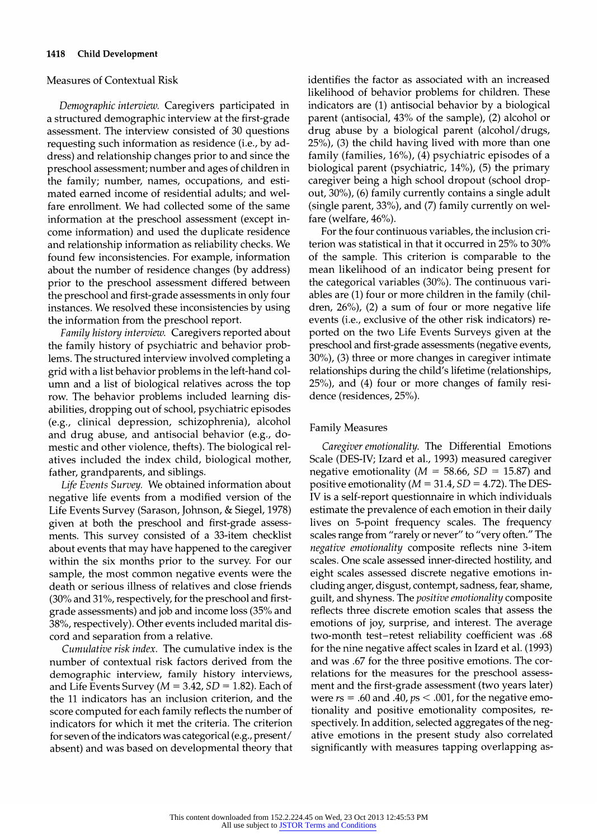# **Measures of Contextual Risk**

**Demographic interview. Caregivers participated in a structured demographic interview at the first-grade assessment. The interview consisted of 30 questions requesting such information as residence (i.e., by address) and relationship changes prior to and since the preschool assessment; number and ages of children in the family; number, names, occupations, and estimated earned income of residential adults; and welfare enrollment. We had collected some of the same information at the preschool assessment (except income information) and used the duplicate residence and relationship information as reliability checks. We found few inconsistencies. For example, information about the number of residence changes (by address) prior to the preschool assessment differed between the preschool and first-grade assessments in only four instances. We resolved these inconsistencies by using the information from the preschool report.** 

**Family history interview. Caregivers reported about the family history of psychiatric and behavior problems. The structured interview involved completing a grid with a list behavior problems in the left-hand column and a list of biological relatives across the top row. The behavior problems included learning disabilities, dropping out of school, psychiatric episodes (e.g., clinical depression, schizophrenia), alcohol and drug abuse, and antisocial behavior (e.g., domestic and other violence, thefts). The biological relatives included the index child, biological mother, father, grandparents, and siblings.** 

**Life Events Survey. We obtained information about negative life events from a modified version of the Life Events Survey (Sarason, Johnson, & Siegel, 1978) given at both the preschool and first-grade assessments. This survey consisted of a 33-item checklist about events that may have happened to the caregiver within the six months prior to the survey. For our sample, the most common negative events were the death or serious illness of relatives and close friends (30% and 31%, respectively, for the preschool and firstgrade assessments) and job and income loss (35% and 38%, respectively). Other events included marital discord and separation from a relative.** 

**Cumulative risk index. The cumulative index is the number of contextual risk factors derived from the demographic interview, family history interviews, and Life Events Survey (M = 3.42, SD = 1.82). Each of the 11 indicators has an inclusion criterion, and the score computed for each family reflects the number of indicators for which it met the criteria. The criterion for seven of the indicators was categorical (e.g., present/ absent) and was based on developmental theory that**  **identifies the factor as associated with an increased likelihood of behavior problems for children. These indicators are (1) antisocial behavior by a biological parent (antisocial, 43% of the sample), (2) alcohol or drug abuse by a biological parent (alcohol/drugs, 25%), (3) the child having lived with more than one family (families, 16%), (4) psychiatric episodes of a biological parent (psychiatric, 14%), (5) the primary caregiver being a high school dropout (school dropout, 30%), (6) family currently contains a single adult (single parent, 33%), and (7) family currently on welfare (welfare, 46%).** 

**For the four continuous variables, the inclusion criterion was statistical in that it occurred in 25% to 30% of the sample. This criterion is comparable to the mean likelihood of an indicator being present for the categorical variables (30%). The continuous variables are (1) four or more children in the family (children, 26%), (2) a sum of four or more negative life events (i.e., exclusive of the other risk indicators) reported on the two Life Events Surveys given at the preschool and first-grade assessments (negative events, 30%), (3) three or more changes in caregiver intimate relationships during the child's lifetime (relationships, 25%), and (4) four or more changes of family residence (residences, 25%).** 

# **Family Measures**

**Caregiver emotionality. The Differential Emotions Scale (DES-IV; Izard et al., 1993) measured caregiver**  negative emotionality ( $M = 58.66$ ,  $SD = 15.87$ ) and **positive emotionality (M = 31.4, SD = 4.72). The DES-IV is a self-report questionnaire in which individuals estimate the prevalence of each emotion in their daily lives on 5-point frequency scales. The frequency scales range from "rarely or never" to "very often." The negative emotionality composite reflects nine 3-item scales. One scale assessed inner-directed hostility, and eight scales assessed discrete negative emotions including anger, disgust, contempt, sadness, fear, shame, guilt, and shyness. The positive emotionality composite reflects three discrete emotion scales that assess the emotions of joy, surprise, and interest. The average two-month test-retest reliability coefficient was .68 for the nine negative affect scales in Izard et al. (1993) and was .67 for the three positive emotions. The correlations for the measures for the preschool assessment and the first-grade assessment (two years later) were rs = .60 and .40, ps < .001, for the negative emotionality and positive emotionality composites, respectively. In addition, selected aggregates of the negative emotions in the present study also correlated significantly with measures tapping overlapping as-**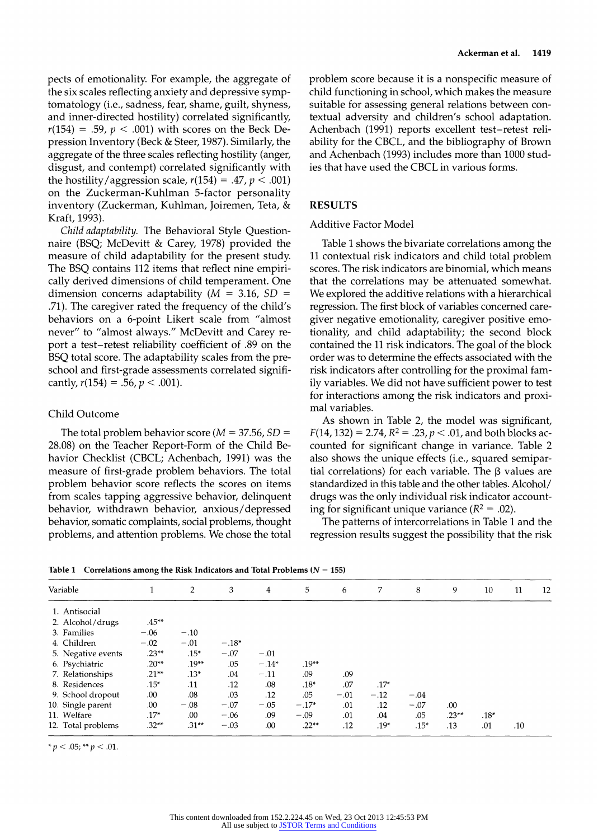**pects of emotionality. For example, the aggregate of the six scales reflecting anxiety and depressive symptomatology (i.e., sadness, fear, shame, guilt, shyness, and inner-directed hostility) correlated significantly,**   $r(154) = .59, p < .001$ ) with scores on the Beck De**pression Inventory (Beck & Steer, 1987). Similarly, the aggregate of the three scales reflecting hostility (anger, disgust, and contempt) correlated significantly with**  the hostility/aggression scale,  $r(154) = .47$ ,  $p < .001$ ) **on the Zuckerman-Kuhlman 5-factor personality inventory (Zuckerman, Kuhlman, Joiremen, Teta, & Kraft, 1993).** 

**Child adaptability. The Behavioral Style Questionnaire (BSQ; McDevitt & Carey, 1978) provided the measure of child adaptability for the present study. The BSQ contains 112 items that reflect nine empirically derived dimensions of child temperament. One dimension concerns adaptability (M = 3.16, SD = .71). The caregiver rated the frequency of the child's behaviors on a 6-point Likert scale from "almost never" to "almost always." McDevitt and Carey report a test-retest reliability coefficient of .89 on the BSQ total score. The adaptability scales from the preschool and first-grade assessments correlated signifi**cantly,  $r(154) = .56$ ,  $p < .001$ ).

# **Child Outcome**

**The total problem behavior score (M = 37.56, SD = 28.08) on the Teacher Report-Form of the Child Behavior Checklist (CBCL; Achenbach, 1991) was the measure of first-grade problem behaviors. The total problem behavior score reflects the scores on items from scales tapping aggressive behavior, delinquent behavior, withdrawn behavior, anxious/depressed behavior, somatic complaints, social problems, thought problems, and attention problems. We chose the total** 

**problem score because it is a nonspecific measure of child functioning in school, which makes the measure suitable for assessing general relations between contextual adversity and children's school adaptation. Achenbach (1991) reports excellent test-retest reliability for the CBCL, and the bibliography of Brown and Achenbach (1993) includes more than 1000 studies that have used the CBCL in various forms.** 

# **RESULTS**

#### **Additive Factor Model**

**Table 1 shows the bivariate correlations among the 11 contextual risk indicators and child total problem scores. The risk indicators are binomial, which means that the correlations may be attenuated somewhat. We explored the additive relations with a hierarchical regression. The first block of variables concerned caregiver negative emotionality, caregiver positive emotionality, and child adaptability; the second block contained the 11 risk indicators. The goal of the block order was to determine the effects associated with the risk indicators after controlling for the proximal family variables. We did not have sufficient power to test for interactions among the risk indicators and proximal variables.** 

**As shown in Table 2, the model was significant,**   $F(14, 132) = 2.74, R^2 = .23, p < .01,$  and both blocks ac**counted for significant change in variance. Table 2 also shows the unique effects (i.e., squared semipar**tial correlations) for each variable. The  $\beta$  values are **standardized in this table and the other tables. Alcohol/ drugs was the only individual risk indicator account**ing for significant unique variance  $(R^2 = .02)$ .

**The patterns of intercorrelations in Table 1 and the regression results suggest the possibility that the risk** 

**Table 1 Correlations among the Risk Indicators and Total Problems (N = 155)** 

| Variable |                    |         | $\overline{2}$ | 3       | $\overline{4}$ | 5       | 6      | 7      | 8      | 9       | 10     | 11  | 12 |
|----------|--------------------|---------|----------------|---------|----------------|---------|--------|--------|--------|---------|--------|-----|----|
|          | 1. Antisocial      |         |                |         |                |         |        |        |        |         |        |     |    |
|          | 2. Alcohol/drugs   | $.45**$ |                |         |                |         |        |        |        |         |        |     |    |
|          | 3. Families        | $-.06$  | $-.10$         |         |                |         |        |        |        |         |        |     |    |
|          | 4. Children        | $-.02$  | $-.01$         | $-.18*$ |                |         |        |        |        |         |        |     |    |
|          | 5. Negative events | $.23**$ | $.15*$         | $-.07$  | $-.01$         |         |        |        |        |         |        |     |    |
|          | 6. Psychiatric     | $.20**$ | $.19**$        | .05     | $-.14*$        | $.19**$ |        |        |        |         |        |     |    |
|          | 7. Relationships   | $.21**$ | $.13*$         | .04     | $-.11$         | .09     | .09    |        |        |         |        |     |    |
|          | 8. Residences      | $.15*$  | .11            | .12     | .08            | $.18*$  | .07    | $.17*$ |        |         |        |     |    |
|          | 9. School dropout  | .00     | .08            | .03     | .12            | .05     | $-.01$ | $-.12$ | $-.04$ |         |        |     |    |
|          | 10. Single parent  | .00     | $-.08$         | $-.07$  | $-.05$         | $-.17*$ | .01    | .12    | $-.07$ | .00     |        |     |    |
|          | 11. Welfare        | $.17*$  | .00.           | $-.06$  | .09            | $-.09$  | .01    | .04    | .05    | $.23**$ | $.18*$ |     |    |
|          | 12. Total problems | $.32**$ | $.31**$        | $-.03$  | .00            | $.22**$ | .12    | $.19*$ | $.15*$ | .13     | .01    | .10 |    |

 $* p < .05; ** p < .01.$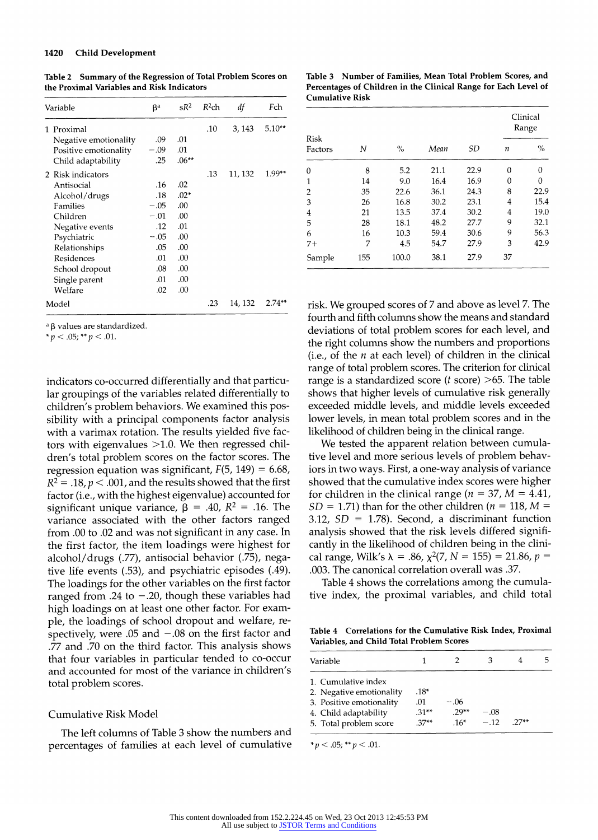| Variable              | Bª     | $sR^2$  | $R^2$ ch | df      | Fch      |
|-----------------------|--------|---------|----------|---------|----------|
| 1 Proximal            |        |         | .10      | 3, 143  | $5.10**$ |
| Negative emotionality | .09    | .01     |          |         |          |
| Positive emotionality | $-.09$ | .01     |          |         |          |
| Child adaptability    | .25    | $.06**$ |          |         |          |
| 2 Risk indicators     |        |         | .13      | 11, 132 | 1.99**   |
| Antisocial            | .16    | .02     |          |         |          |
| Alcohol/drugs         | .18    | $.02*$  |          |         |          |
| Families              | $-.05$ | .00     |          |         |          |
| Children              | $-.01$ | .00     |          |         |          |
| Negative events       | .12    | .01     |          |         |          |
| Psychiatric           | $-.05$ | .00     |          |         |          |
| Relationships         | .05    | .00     |          |         |          |
| Residences            | .01    | .00     |          |         |          |
| School dropout        | .08    | .00     |          |         |          |
| Single parent         | .01    | .00     |          |         |          |
| Welfare               | .02    | .00     |          |         |          |
| Model                 |        |         | .23      | 14, 132 | $2.74**$ |

**Table 2 Summary of the Regression of Total Problem Scores on the Proximal Variables and Risk Indicators** 

**<sup>a</sup>values are standardized.** 

 $\dot{p}$  < .05; \*\*  $p$  < .01.

**indicators co-occurred differentially and that particular groupings of the variables related differentially to children's problem behaviors. We examined this possibility with a principal components factor analysis with a varimax rotation. The results yielded five factors with eigenvalues >1.0. We then regressed children's total problem scores on the factor scores. The regression equation was significant,**  $F(5, 149) = 6.68$ **,**  $R^2 = .18$ ,  $p < .001$ , and the results showed that the first **factor (i.e., with the highest eigenvalue) accounted for significant unique variance,**  $\beta$  **= .40,**  $R^2$  **= .16. The variance associated with the other factors ranged from .00 to .02 and was not significant in any case. In the first factor, the item loadings were highest for alcohol/drugs (.77), antisocial behavior (.75), negative life events (.53), and psychiatric episodes (.49). The loadings for the other variables on the first factor**  ranged from  $.24$  to  $-.20$ , though these variables had **high loadings on at least one other factor. For example, the loadings of school dropout and welfare, re**spectively, were  $.05$  and  $-.08$  on the first factor and **.77 and .70 on the third factor. This analysis shows that four variables in particular tended to co-occur and accounted for most of the variance in children's total problem scores.** 

#### **Cumulative Risk Model**

**The left columns of Table 3 show the numbers and percentages of families at each level of cumulative** 

**Table 3 Number of Families, Mean Total Problem Scores, and Percentages of Children in the Clinical Range for Each Level of Cumulative Risk** 

|                        |     |       |      |      | Clinical<br>Range |          |  |
|------------------------|-----|-------|------|------|-------------------|----------|--|
| <b>Risk</b><br>Factors | N   | $\%$  | Mean | SD   | $\boldsymbol{n}$  | $\%$     |  |
| 0                      | 8   | 5.2   | 21.1 | 22.9 | 0                 | $\Omega$ |  |
| 1                      | 14  | 9.0   | 16.4 | 16.9 | 0                 | 0        |  |
| 2                      | 35  | 22.6  | 36.1 | 24.3 | 8                 | 22.9     |  |
| 3                      | 26  | 16.8  | 30.2 | 23.1 | 4                 | 15.4     |  |
| 4                      | 21  | 13.5  | 37.4 | 30.2 | 4                 | 19.0     |  |
| 5                      | 28  | 18.1  | 48.2 | 27.7 | 9                 | 32.1     |  |
| 6                      | 16  | 10.3  | 59.4 | 30.6 | 9                 | 56.3     |  |
| $7+$                   | 7   | 4.5   | 54.7 | 27.9 | 3                 | 42.9     |  |
| Sample                 | 155 | 100.0 | 38.1 | 27.9 | 37                |          |  |

**risk. We grouped scores of 7 and above as level 7. The fourth and fifth columns show the means and standard deviations of total problem scores for each level, and the right columns show the numbers and proportions (i.e., of the n at each level) of children in the clinical range of total problem scores. The criterion for clinical range is a standardized score (t score) >65. The table shows that higher levels of cumulative risk generally exceeded middle levels, and middle levels exceeded lower levels, in mean total problem scores and in the likelihood of children being in the clinical range.** 

**We tested the apparent relation between cumulative level and more serious levels of problem behaviors in two ways. First, a one-way analysis of variance showed that the cumulative index scores were higher**  for children in the clinical range ( $n = 37$ ,  $M = 4.41$ ,  $SD = 1.71$ ) than for the other children ( $n = 118$ ,  $M =$ **3.12, SD = 1.78). Second, a discriminant function analysis showed that the risk levels differed significantly in the likelihood of children being in the clini**cal range, Wilk's  $\lambda = .86$ ,  $\chi^2(7, N = 155) = 21.86$ ,  $p =$ **.003. The canonical correlation overall was .37.** 

**Table 4 shows the correlations among the cumulative index, the proximal variables, and child total** 

**Table 4 Correlations for the Cumulative Risk Index, Proximal Variables, and Child Total Problem Scores** 

| Variable                                                                                                                       |                                   |                            | З                |        | ↖ |
|--------------------------------------------------------------------------------------------------------------------------------|-----------------------------------|----------------------------|------------------|--------|---|
| 1. Cumulative index<br>2. Negative emotionality<br>3. Positive emotionality<br>4. Child adaptability<br>5. Total problem score | $.18*$<br>.01<br>$31**$<br>$37**$ | $-.06$<br>$.29**$<br>$16*$ | $-.08$<br>$-.12$ | $27**$ |   |

 $* p < .05; ** p < .01.$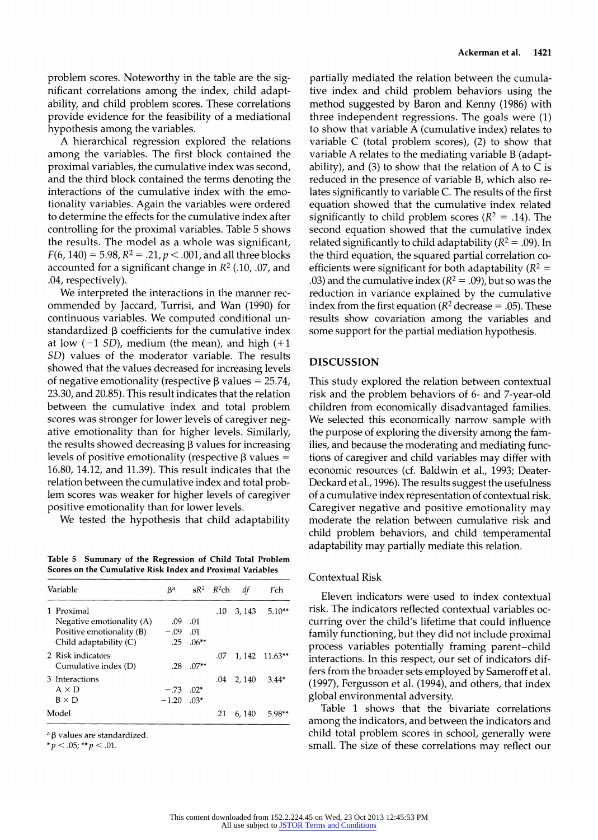**problem scores. Noteworthy in the table are the significant correlations among the index, child adaptability, and child problem scores. These correlations provide evidence for the feasibility of a mediational hypothesis among the variables.** 

**A hierarchical regression explored the relations among the variables. The first block contained the proximal variables, the cumulative index was second, and the third block contained the terms denoting the interactions of the cumulative index with the emotionality variables. Again the variables were ordered to determine the effects for the cumulative index after controlling for the proximal variables. Table 5 shows the results. The model as a whole was significant,**   $F(6, 140) = 5.98$ ,  $R^2 = .21$ ,  $p < .001$ , and all three blocks **accounted for a significant change in R2 (.10, .07, and .04, respectively).** 

**We interpreted the interactions in the manner recommended by Jaccard, Turrisi, and Wan (1990) for continuous variables. We computed conditional unstandardized P coefficients for the cumulative index**  at low  $(-1 S D)$ , medium (the mean), and high  $(+1$ **SD) values of the moderator variable. The results showed that the values decreased for increasing levels**  of negative emotionality (respective  $\beta$  values = 25.74, **23.30, and 20.85). This result indicates that the relation between the cumulative index and total problem scores was stronger for lower levels of caregiver negative emotionality than for higher levels. Similarly,**  the results showed decreasing β values for increasing levels of positive emotionality (respective  $\beta$  values = **16.80, 14.12, and 11.39). This result indicates that the relation between the cumulative index and total problem scores was weaker for higher levels of caregiver positive emotionality than for lower levels.** 

**We tested the hypothesis that child adaptability** 

**Table 5 Summary of the Regression of Child Total Problem Scores on the Cumulative Risk Index and Proximal Variables** 

| Variable                  | Bª      |         | $sR^2$ $R^2$ ch | df     | Fch             |
|---------------------------|---------|---------|-----------------|--------|-----------------|
| 1 Proximal                |         |         | .10             | 3, 143 | $5.10**$        |
| Negative emotionality (A) | .09     | .01     |                 |        |                 |
| Positive emotionality (B) | $-.09$  | .01     |                 |        |                 |
| Child adaptability (C)    | .25     | $.06**$ |                 |        |                 |
| 2 Risk indicators         |         |         | .07             |        | $1,142$ 11.63** |
| Cumulative index (D)      | .28     | $.07**$ |                 |        |                 |
| 3 Interactions            |         |         | .04             | 2.140  | $3.44*$         |
| $A \times D$              | $-.73$  | $.02*$  |                 |        |                 |
| $B \times D$              | $-1.20$ | $.03*$  |                 |        |                 |
| Model                     |         |         | .21             | 6, 140 | 5.98**          |

**<sup>a</sup>3 values are standardized.** 

 $* p < .05; ** p < .01.$ 

**partially mediated the relation between the cumulative index and child problem behaviors using the method suggested by Baron and Kenny (1986) with three independent regressions. The goals were (1) to show that variable A (cumulative index) relates to variable C (total problem scores), (2) to show that variable A relates to the mediating variable B (adaptability), and (3) to show that the relation of A to C is reduced in the presence of variable B, which also relates significantly to variable C. The results of the first equation showed that the cumulative index related significantly to child problem scores (** $R^2 = .14$ **). The second equation showed that the cumulative index**  related significantly to child adaptability  $(R^2 = .09)$ . In **the third equation, the squared partial correlation co**efficients were significant for both adaptability  $(R^2 =$ **.03) and the cumulative index (R2 = .09), but so was the reduction in variance explained by the cumulative**  index from the first equation  $(R^2 \text{ decrease} = .05)$ . These **results show covariation among the variables and some support for the partial mediation hypothesis.** 

# **DISCUSSION**

**This study explored the relation between contextual risk and the problem behaviors of 6- and 7-year-old children from economically disadvantaged families. We selected this economically narrow sample with the purpose of exploring the diversity among the families, and because the moderating and mediating functions of caregiver and child variables may differ with economic resources (cf. Baldwin et al., 1993; Deater-Deckard et al., 1996). The results suggest the usefulness of a cumulative index representation of contextual risk. Caregiver negative and positive emotionality may moderate the relation between cumulative risk and child problem behaviors, and child temperamental adaptability may partially mediate this relation.** 

# **Contextual Risk**

**Eleven indicators were used to index contextual risk. The indicators reflected contextual variables occurring over the child's lifetime that could influence family functioning, but they did not include proximal process variables potentially framing parent-child interactions. In this respect, our set of indicators differs from the broader sets employed by Sameroff et al. (1997), Fergusson et al. (1994), and others, that index global environmental adversity.** 

**Table 1 shows that the bivariate correlations among the indicators, and between the indicators and child total problem scores in school, generally were small. The size of these correlations may reflect our**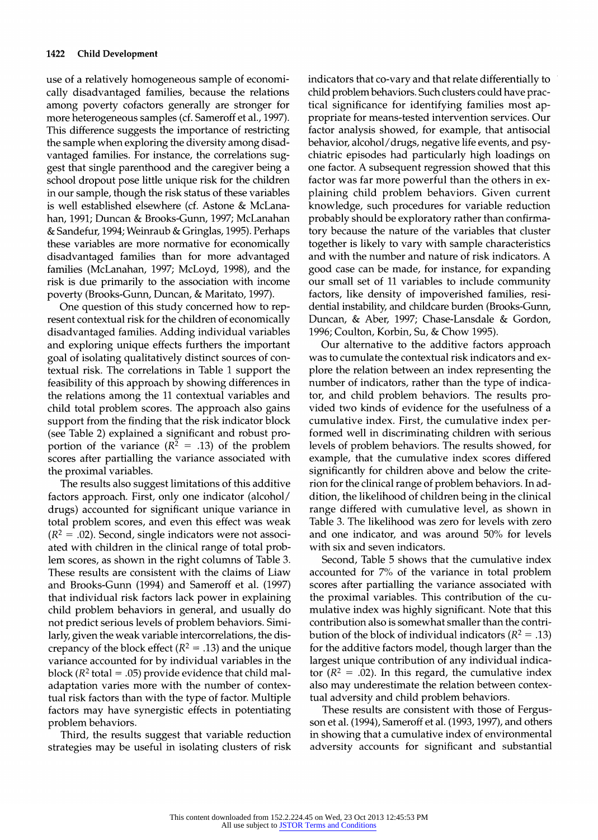**use of a relatively homogeneous sample of economically disadvantaged families, because the relations among poverty cofactors generally are stronger for more heterogeneous samples (cf. Sameroff et al., 1997). This difference suggests the importance of restricting the sample when exploring the diversity among disadvantaged families. For instance, the correlations suggest that single parenthood and the caregiver being a school dropout pose little unique risk for the children in our sample, though the risk status of these variables is well established elsewhere (cf. Astone & McLanahan, 1991; Duncan & Brooks-Gunn, 1997; McLanahan & Sandefur, 1994; Weinraub & Gringlas, 1995). Perhaps these variables are more normative for economically disadvantaged families than for more advantaged families (McLanahan, 1997; McLoyd, 1998), and the risk is due primarily to the association with income poverty (Brooks-Gunn, Duncan, & Maritato, 1997).** 

**One question of this study concerned how to represent contextual risk for the children of economically disadvantaged families. Adding individual variables and exploring unique effects furthers the important goal of isolating qualitatively distinct sources of contextual risk. The correlations in Table 1 support the feasibility of this approach by showing differences in the relations among the 11 contextual variables and child total problem scores. The approach also gains support from the finding that the risk indicator block (see Table 2) explained a significant and robust pro**portion of the variance  $(R^2 = .13)$  of the problem **scores after partialling the variance associated with the proximal variables.** 

**The results also suggest limitations of this additive factors approach. First, only one indicator (alcohol/ drugs) accounted for significant unique variance in total problem scores, and even this effect was weak (R2= .02). Second, single indicators were not associated with children in the clinical range of total problem scores, as shown in the right columns of Table 3. These results are consistent with the claims of Liaw and Brooks-Gunn (1994) and Sameroff et al. (1997) that individual risk factors lack power in explaining child problem behaviors in general, and usually do not predict serious levels of problem behaviors. Similarly, given the weak variable intercorrelations, the dis**crepancy of the block effect  $(R^2 = .13)$  and the unique **variance accounted for by individual variables in the block (R2 total = .05) provide evidence that child maladaptation varies more with the number of contextual risk factors than with the type of factor. Multiple factors may have synergistic effects in potentiating problem behaviors.** 

**Third, the results suggest that variable reduction strategies may be useful in isolating clusters of risk** 

**indicators that co-vary and that relate differentially to child problem behaviors. Such clusters could have practical significance for identifying families most appropriate for means-tested intervention services. Our factor analysis showed, for example, that antisocial behavior, alcohol/drugs, negative life events, and psychiatric episodes had particularly high loadings on one factor. A subsequent regression showed that this factor was far more powerful than the others in explaining child problem behaviors. Given current knowledge, such procedures for variable reduction probably should be exploratory rather than confirmatory because the nature of the variables that cluster together is likely to vary with sample characteristics and with the number and nature of risk indicators. A good case can be made, for instance, for expanding our small set of 11 variables to include community factors, like density of impoverished families, residential instability, and childcare burden (Brooks-Gunn, Duncan, & Aber, 1997; Chase-Lansdale & Gordon, 1996; Coulton, Korbin, Su, & Chow 1995).** 

**Our alternative to the additive factors approach was to cumulate the contextual risk indicators and explore the relation between an index representing the number of indicators, rather than the type of indicator, and child problem behaviors. The results provided two kinds of evidence for the usefulness of a cumulative index. First, the cumulative index performed well in discriminating children with serious levels of problem behaviors. The results showed, for example, that the cumulative index scores differed significantly for children above and below the criterion for the clinical range of problem behaviors. In addition, the likelihood of children being in the clinical range differed with cumulative level, as shown in Table 3. The likelihood was zero for levels with zero and one indicator, and was around 50% for levels with six and seven indicators.** 

**Second, Table 5 shows that the cumulative index accounted for 7% of the variance in total problem scores after partialling the variance associated with the proximal variables. This contribution of the cumulative index was highly significant. Note that this contribution also is somewhat smaller than the contribution of the block of individual indicators (** $R^2 = .13$ **) for the additive factors model, though larger than the largest unique contribution of any individual indica**tor  $(R^2 = .02)$ . In this regard, the cumulative index **also may underestimate the relation between contextual adversity and child problem behaviors.** 

**These results are consistent with those of Fergusson et al. (1994), Sameroff et al. (1993, 1997), and others in showing that a cumulative index of environmental adversity accounts for significant and substantial**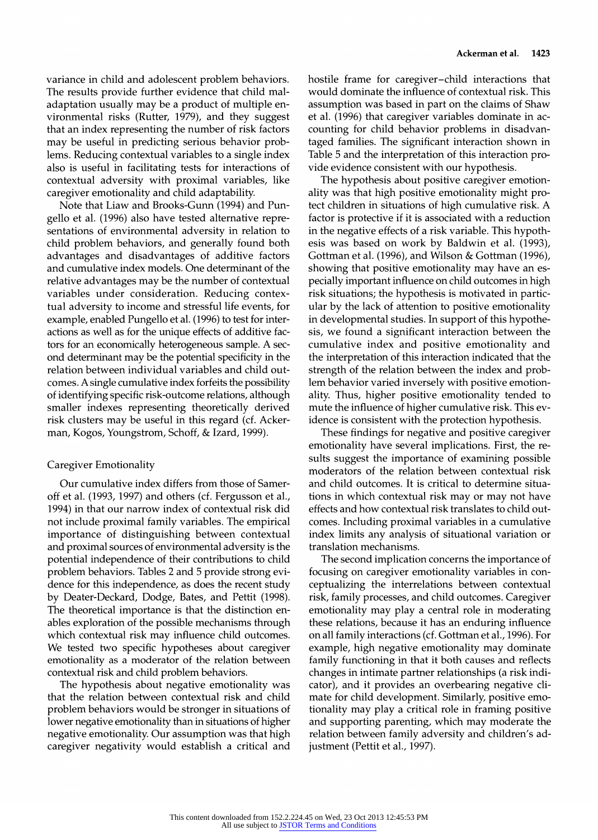**variance in child and adolescent problem behaviors. The results provide further evidence that child maladaptation usually may be a product of multiple environmental risks (Rutter, 1979), and they suggest that an index representing the number of risk factors may be useful in predicting serious behavior problems. Reducing contextual variables to a single index also is useful in facilitating tests for interactions of contextual adversity with proximal variables, like caregiver emotionality and child adaptability.** 

**Note that Liaw and Brooks-Gunn (1994) and Pungello et al. (1996) also have tested alternative representations of environmental adversity in relation to child problem behaviors, and generally found both advantages and disadvantages of additive factors and cumulative index models. One determinant of the relative advantages may be the number of contextual variables under consideration. Reducing contextual adversity to income and stressful life events, for example, enabled Pungello et al. (1996) to test for interactions as well as for the unique effects of additive factors for an economically heterogeneous sample. A second determinant may be the potential specificity in the relation between individual variables and child outcomes. A single cumulative index forfeits the possibility of identifying specific risk-outcome relations, although smaller indexes representing theoretically derived risk clusters may be useful in this regard (cf. Ackerman, Kogos, Youngstrom, Schoff, & Izard, 1999).** 

# **Caregiver Emotionality**

**Our cumulative index differs from those of Sameroff et al. (1993, 1997) and others (cf. Fergusson et al., 1994) in that our narrow index of contextual risk did not include proximal family variables. The empirical importance of distinguishing between contextual and proximal sources of environmental adversity is the potential independence of their contributions to child problem behaviors. Tables 2 and 5 provide strong evidence for this independence, as does the recent study by Deater-Deckard, Dodge, Bates, and Pettit (1998). The theoretical importance is that the distinction enables exploration of the possible mechanisms through which contextual risk may influence child outcomes. We tested two specific hypotheses about caregiver emotionality as a moderator of the relation between contextual risk and child problem behaviors.** 

**The hypothesis about negative emotionality was that the relation between contextual risk and child problem behaviors would be stronger in situations of lower negative emotionality than in situations of higher negative emotionality. Our assumption was that high caregiver negativity would establish a critical and**  **hostile frame for caregiver-child interactions that would dominate the influence of contextual risk. This assumption was based in part on the claims of Shaw et al. (1996) that caregiver variables dominate in accounting for child behavior problems in disadvantaged families. The significant interaction shown in Table 5 and the interpretation of this interaction provide evidence consistent with our hypothesis.** 

**The hypothesis about positive caregiver emotionality was that high positive emotionality might protect children in situations of high cumulative risk. A factor is protective if it is associated with a reduction in the negative effects of a risk variable. This hypothesis was based on work by Baldwin et al. (1993), Gottman et al. (1996), and Wilson & Gottman (1996), showing that positive emotionality may have an especially important influence on child outcomes in high risk situations; the hypothesis is motivated in particular by the lack of attention to positive emotionality in developmental studies. In support of this hypothesis, we found a significant interaction between the cumulative index and positive emotionality and the interpretation of this interaction indicated that the strength of the relation between the index and problem behavior varied inversely with positive emotionality. Thus, higher positive emotionality tended to mute the influence of higher cumulative risk. This evidence is consistent with the protection hypothesis.** 

**These findings for negative and positive caregiver emotionality have several implications. First, the results suggest the importance of examining possible moderators of the relation between contextual risk and child outcomes. It is critical to determine situations in which contextual risk may or may not have effects and how contextual risk translates to child outcomes. Including proximal variables in a cumulative index limits any analysis of situational variation or translation mechanisms.** 

**The second implication concerns the importance of focusing on caregiver emotionality variables in conceptualizing the interrelations between contextual risk, family processes, and child outcomes. Caregiver emotionality may play a central role in moderating these relations, because it has an enduring influence on all family interactions (cf. Gottman et al., 1996). For example, high negative emotionality may dominate family functioning in that it both causes and reflects changes in intimate partner relationships (a risk indicator), and it provides an overbearing negative climate for child development. Similarly, positive emotionality may play a critical role in framing positive and supporting parenting, which may moderate the relation between family adversity and children's adjustment (Pettit et al., 1997).**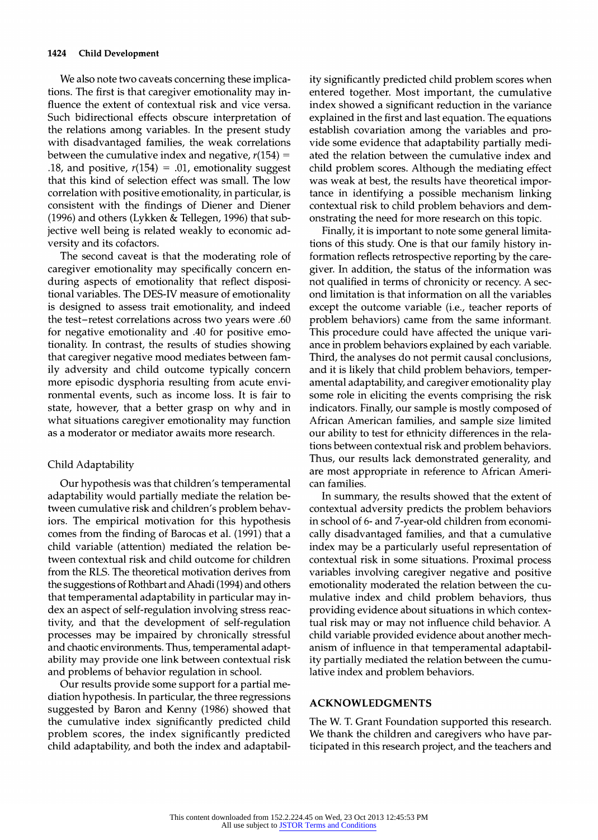**We also note two caveats concerning these implications. The first is that caregiver emotionality may influence the extent of contextual risk and vice versa. Such bidirectional effects obscure interpretation of the relations among variables. In the present study with disadvantaged families, the weak correlations**  between the cumulative index and negative,  $r(154)$  = .18, and positive,  $r(154) = .01$ , emotionality suggest **that this kind of selection effect was small. The low correlation with positive emotionality, in particular, is consistent with the findings of Diener and Diener (1996) and others (Lykken & Tellegen, 1996) that subjective well being is related weakly to economic adversity and its cofactors.** 

**The second caveat is that the moderating role of caregiver emotionality may specifically concern enduring aspects of emotionality that reflect dispositional variables. The DES-IV measure of emotionality is designed to assess trait emotionality, and indeed the test-retest correlations across two years were .60 for negative emotionality and .40 for positive emotionality. In contrast, the results of studies showing that caregiver negative mood mediates between family adversity and child outcome typically concern more episodic dysphoria resulting from acute environmental events, such as income loss. It is fair to state, however, that a better grasp on why and in what situations caregiver emotionality may function as a moderator or mediator awaits more research.** 

# **Child Adaptability**

**Our hypothesis was that children's temperamental adaptability would partially mediate the relation between cumulative risk and children's problem behaviors. The empirical motivation for this hypothesis comes from the finding of Barocas et al. (1991) that a child variable (attention) mediated the relation between contextual risk and child outcome for children from the RLS. The theoretical motivation derives from the suggestions of Rothbart and Ahadi (1994) and others that temperamental adaptability in particular may index an aspect of self-regulation involving stress reactivity, and that the development of self-regulation processes may be impaired by chronically stressful and chaotic environments. Thus, temperamental adaptability may provide one link between contextual risk and problems of behavior regulation in school.** 

**Our results provide some support for a partial mediation hypothesis. In particular, the three regressions suggested by Baron and Kenny (1986) showed that the cumulative index significantly predicted child problem scores, the index significantly predicted child adaptability, and both the index and adaptabil-** **ity significantly predicted child problem scores when entered together. Most important, the cumulative index showed a significant reduction in the variance explained in the first and last equation. The equations establish covariation among the variables and provide some evidence that adaptability partially mediated the relation between the cumulative index and child problem scores. Although the mediating effect was weak at best, the results have theoretical importance in identifying a possible mechanism linking contextual risk to child problem behaviors and demonstrating the need for more research on this topic.** 

**Finally, it is important to note some general limitations of this study. One is that our family history information reflects retrospective reporting by the caregiver. In addition, the status of the information was not qualified in terms of chronicity or recency. A second limitation is that information on all the variables except the outcome variable (i.e., teacher reports of problem behaviors) came from the same informant. This procedure could have affected the unique variance in problem behaviors explained by each variable. Third, the analyses do not permit causal conclusions, and it is likely that child problem behaviors, temperamental adaptability, and caregiver emotionality play some role in eliciting the events comprising the risk indicators. Finally, our sample is mostly composed of African American families, and sample size limited our ability to test for ethnicity differences in the relations between contextual risk and problem behaviors. Thus, our results lack demonstrated generality, and are most appropriate in reference to African American families.** 

**In summary, the results showed that the extent of contextual adversity predicts the problem behaviors in school of 6- and 7-year-old children from economically disadvantaged families, and that a cumulative index may be a particularly useful representation of contextual risk in some situations. Proximal process variables involving caregiver negative and positive emotionality moderated the relation between the cumulative index and child problem behaviors, thus providing evidence about situations in which contextual risk may or may not influence child behavior. A child variable provided evidence about another mechanism of influence in that temperamental adaptability partially mediated the relation between the cumulative index and problem behaviors.** 

# **ACKNOWLEDGMENTS**

**The W. T. Grant Foundation supported this research. We thank the children and caregivers who have participated in this research project, and the teachers and**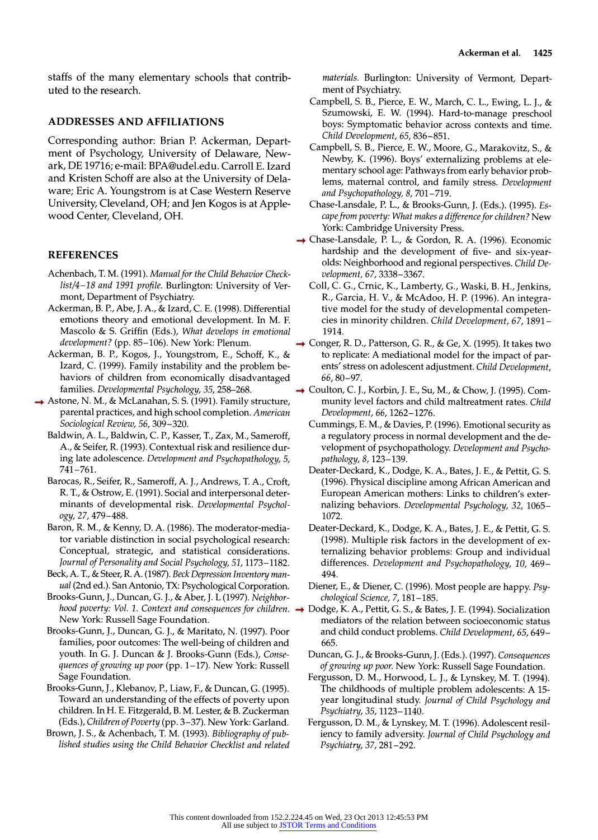**staffs of the many elementary schools that contributed to the research.** 

# **ADDRESSES AND AFFILIATIONS**

**Corresponding author: Brian P. Ackerman, Department of Psychology, University of Delaware, Newark, DE 19716; e-mail: BPA@udel.edu. Carroll E. Izard and Kristen Schoff are also at the University of Delaware; Eric A. Youngstrom is at Case Western Reserve University, Cleveland, OH; and Jen Kogos is at Applewood Center, Cleveland, OH.** 

# **REFERENCES**

- **Achenbach, T. M. (1991). Manual for the Child Behavior Checklist/4-18 and 1991 profile. Burlington: University of Vermont, Department of Psychiatry.**
- **Ackerman, B. P., Abe, J. A., & Izard, C. E. (1998). Differential emotions theory and emotional development. In M. F. Mascolo & S. Griffin (Eds.), What develops in emotional development? (pp. 85-106). New York: Plenum.**
- **Ackerman, B. P., Kogos, J., Youngstrom, E., Schoff, K., & Izard, C. (1999). Family instability and the problem behaviors of children from economically disadvantaged families. Developmental Psychology, 35, 258-268.**
- **Astone, N. M., & McLanahan, S. S. (1991). Family structure, parental practices, and high school completion. American Sociological Review, 56, 309-320.** 
	- **Baldwin, A. L., Baldwin, C. P., Kasser, T., Zax, M., Sameroff, A., & Seifer, R. (1993). Contextual risk and resilience during late adolescence. Development and Psychopathology, 5, 741-761.**
	- **Barocas, R., Seifer, R., Sameroff, A. J., Andrews, T. A., Croft, R. T., & Ostrow, E. (1991). Social and interpersonal determinants of developmental risk. Developmental Psychology, 27, 479-488.**
	- **Baron, R. M., & Kenny, D. A. (1986). The moderator-mediator variable distinction in social psychological research: Conceptual, strategic, and statistical considerations. Journal of Personality and Social Psychology, 51, 1173-1182.**
	- **Beck, A. T., & Steer, R. A. (1987). Beck Depression Inventory manual (2nd ed.). San Antonio, TX: Psychological Corporation.**
	- **Brooks-Gunn, J., Duncan, G. J., & Aber, J. L (1997). Neighbor-New York: Russell Sage Foundation.**
	- **Brooks-Gunn, J., Duncan, G. J., & Maritato, N. (1997). Poor families, poor outcomes: The well-being of children and youth. In G. J. Duncan & J. Brooks-Gunn (Eds.), Consequences of growing up poor (pp. 1-17). New York: Russell Sage Foundation.**
	- **Brooks-Gunn, J., Klebanov, P., Liaw, F, & Duncan, G. (1995). Toward an understanding of the effects of poverty upon children. In H. E. Fitzgerald, B. M. Lester, & B. Zuckerman (Eds.), Children of Poverty (pp. 3-37). New York: Garland.**
	- **Brown, J. S., & Achenbach, T. M. (1993). Bibliography of published studies using the Child Behavior Checklist and related**

**materials. Burlington: University of Vermont, Department of Psychiatry.** 

- **Campbell, S. B., Pierce, E. W., March, C. L., Ewing, L. J., & Szumowski, E. W. (1994). Hard-to-manage preschool boys: Symptomatic behavior across contexts and time. Child Development, 65, 836-851.**
- **Campbell, S. B., Pierce, E. W., Moore, G., Marakovitz, S., & Newby, K. (1996). Boys' externalizing problems at elementary school age: Pathways from early behavior problems, maternal control, and family stress. Development and Psychopathology, 8, 701-719.**
- **Chase-Lansdale, P. L., & Brooks-Gunn, J. (Eds.). (1995). Escape from poverty: What makes a difference for children? New York: Cambridge University Press.**
- **Chase-Lansdale, P. L., & Gordon, R. A. (1996). Economic hardship and the development of five- and six-yearolds: Neighborhood and regional perspectives. Child Development, 67, 3338-3367.** 
	- **Coll, C. G., Crnic, K., Lamberty, G., Waski, B. H., Jenkins, R., Garcia, H. V., & McAdoo, H. P. (1996). An integrative model for the study of developmental competencies in minority children. Child Development, 67, 1891- 1914.**
- **Conger, R. D., Patterson, G. R., & Ge, X. (1995). It takes two to replicate: A mediational model for the impact of parents' stress on adolescent adjustment. Child Development, 66, 80-97.**
- **Coulton, C. J., Korbin, J. E., Su, M., & Chow, J. (1995). Community level factors and child maltreatment rates. Child Development, 66, 1262-1276.** 
	- **Cummings, E. M., & Davies, P. (1996). Emotional security as a regulatory process in normal development and the development of psychopathology. Development and Psychopathology, 8, 123-139.**
	- **Deater-Deckard, K., Dodge, K. A., Bates, J. E., & Pettit, G. S. (1996). Physical discipline among African American and European American mothers: Links to children's externalizing behaviors. Developmental Psychology, 32, 1065- 1072.**
	- **Deater-Deckard, K., Dodge, K. A., Bates, J. E., & Pettit, G. S. (1998). Multiple risk factors in the development of externalizing behavior problems: Group and individual differences. Development and Psychopathology, 10, 469- 494.**
	- **Diener, E., & Diener, C. (1996). Most people are happy. Psychological Science, 7, 181-185.**
- **hood poverty: Vol. 1. Context and consequences for children. Dodge, K. A., Pettit, G. S., & Bates, J. E. (1994). Socialization mediators of the relation between socioeconomic status and child conduct problems. Child Development, 65, 649- 665.** 
	- **Duncan, G. J., & Brooks-Gunn, J. (Eds.). (1997). Consequences of growing up poor. New York: Russell Sage Foundation.**
	- **Fergusson, D. M., Horwood, L. J., & Lynskey, M. T. (1994). The childhoods of multiple problem adolescents: A 15 year longitudinal study. Journal of Child Psychology and Psychiatry, 35, 1123-1140.**
	- **Fergusson, D. M., & Lynskey, M. T. (1996). Adolescent resiliency to family adversity. Journal of Child Psychology and Psychiatry, 37, 281-292.**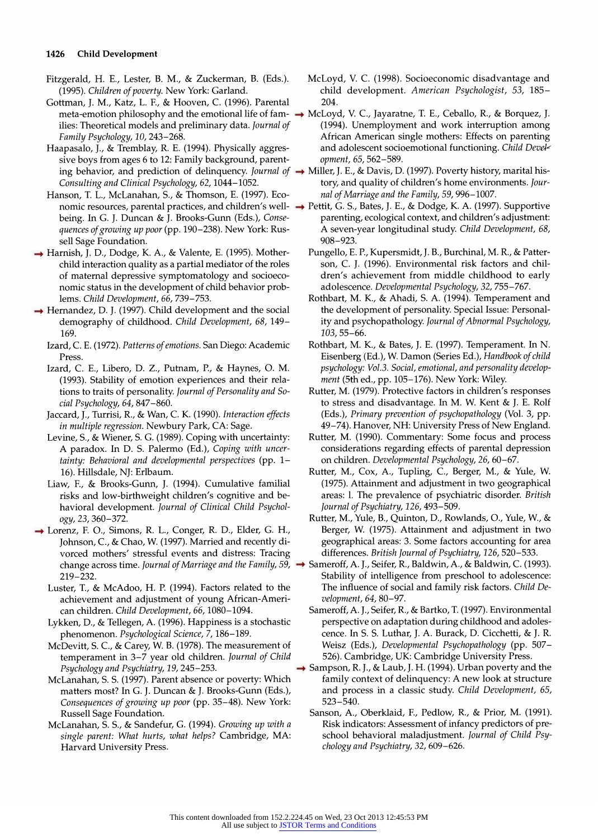- **Fitzgerald, H. E., Lester, B. M., & Zuckerman, B. (Eds.). (1995). Children of poverty. New York: Garland.**
- **Gottman, J. M., Katz, L. F., & Hooven, C. (1996). Parental ilies: Theoretical models and preliminary data. Journal of Family Psychology, 10, 243-268.**
- **Haapasalo, J., & Tremblay, R. E. (1994). Physically aggressive boys from ages 6 to 12: Family background, parent-Consulting and Clinical Psychology, 62, 1044-1052.**
- **Hanson, T. L., McLanahan, S., & Thomson, E. (1997). Ecobeing. In G. J. Duncan & J. Brooks-Gunn (Eds.), Consequences of growing up poor (pp. 190-238). New York: Russell Sage Foundation.**
- **Harnish, J. D., Dodge, K. A., & Valente, E. (1995). Motherchild interaction quality as a partial mediator of the roles of maternal depressive symptomatology and socioeconomic status in the development of child behavior problems. Child Development, 66, 739-753.**
- **Hernandez, D. J. (1997). Child development and the social demography of childhood. Child Development, 68, 149- 169.** 
	- **Izard, C. E. (1972). Patterns of emotions. San Diego: Academic Press.**
	- **Izard, C. E., Libero, D. Z., Putnam, P., & Haynes, O. M. (1993). Stability of emotion experiences and their relations to traits of personality. Journal of Personality and Social Psychology, 64, 847-860.**
	- **Jaccard, J., Turrisi, R., & Wan, C. K. (1990). Interaction effects in multiple regression. Newbury Park, CA: Sage.**
	- **Levine, S., & Wiener, S. G. (1989). Coping with uncertainty: A paradox. In D. S. Palermo (Ed.), Coping with uncertainty: Behavioral and developmental perspectives (pp. 1- 16). Hillsdale, NJ: Erlbaum.**
	- **Liaw, F., & Brooks-Gunn, J. (1994). Cumulative familial risks and low-birthweight children's cognitive and behavioral development. Journal of Clinical Child Psychology, 23, 360-372.**
- **Lorenz, F. O., Simons, R. L., Conger, R. D., Elder, G. H., Johnson, C., & Chao, W. (1997). Married and recently divorced mothers' stressful events and distress: Tracing 219-232.** 
	- **Luster, T., & McAdoo, H. P. (1994). Factors related to the achievement and adjustment of young African-American children. Child Development, 66, 1080-1094.**
	- **Lykken, D., & Tellegen, A. (1996). Happiness is a stochastic phenomenon. Psychological Science, 7, 186-189.**
	- **McDevitt, S. C., & Carey, W. B. (1978). The measurement of temperament in 3-7 year old children. Journal of Child Psychology and Psychiatry, 19, 245-253.**
	- **McLanahan, S. S. (1997). Parent absence or poverty: Which matters most? In G. J. Duncan & J. Brooks-Gunn (Eds.), Consequences of growing up poor (pp. 35-48). New York: Russell Sage Foundation.**
	- **McLanahan, S. S., & Sandefur, G. (1994). Growing up with a single parent: What hurts, what helps? Cambridge, MA: Harvard University Press.**
- **McLoyd, V. C. (1998). Socioeconomic disadvantage and child development. American Psychologist, 53, 185- 204.**
- **meta-emotion philosophy and the emotional life of fam-McLoyd, V. C., Jayaratne, T. E., Ceballo, R., & Borquez, J. (1994). Unemployment and work interruption among African American single mothers: Effects on parenting and adolescent socioemotional functioning. Child Devek opment, 65, 562-589.**
- **ing behavior, and prediction of delinquency. Journal of Miller, J. E., & Davis, D. (1997). Poverty history, marital history, and quality of children's home environments. Journal of Marriage and the Family, 59, 996-1007.**
- **nomic resources, parental practices, and children's well-Pettit, G. S., Bates, J. E., & Dodge, K. A. (1997). Supportive parenting, ecological context, and children's adjustment: A seven-year longitudinal study. Child Development, 68, 908-923.** 
	- **Pungello, E. P., Kupersmidt, J. B., Burchinal, M. R., & Patterson, C. J. (1996). Environmental risk factors and children's achievement from middle childhood to early adolescence. Developmental Psychology, 32, 755-767.**
	- **Rothbart, M. K., & Ahadi, S. A. (1994). Temperament and the development of personality. Special Issue: Personality and psychopathology. Journal of Abnormal Psychology, 103, 55-66.**
	- **Rothbart, M. K., & Bates, J. E. (1997). Temperament. In N. Eisenberg (Ed.), W. Damon (Series Ed.), Handbook of child psychology: Vol.3. Social, emotional, and personality development (5th ed., pp. 105-176). New York: Wiley.**
	- **Rutter, M. (1979). Protective factors in children's responses to stress and disadvantage. In M. W. Kent & J. E. Rolf (Eds.), Primary prevention of psychopathology (Vol. 3, pp. 49-74). Hanover, NH: University Press of New England.**
	- **Rutter, M. (1990). Commentary: Some focus and process considerations regarding effects of parental depression on children. Developmental Psychology, 26, 60-67.**
	- **Rutter, M., Cox, A., Tupling, C., Berger, M., & Yule, W. (1975). Attainment and adjustment in two geographical areas: 1. The prevalence of psychiatric disorder. British Journal of Psychiatry, 126, 493-509.**
	- **Rutter, M., Yule, B., Quinton, D., Rowlands, O., Yule, W., & Berger, W. (1975). Attainment and adjustment in two geographical areas: 3. Some factors accounting for area differences. British Journal of Psychiatry, 126, 520-533.**
- **change across time. Journal of Marriage and the Family, 59, Sameroff, A. J., Seifer, R., Baldwin, A., & Baldwin, C. (1993). Stability of intelligence from preschool to adolescence: The influence of social and family risk factors. Child Development, 64, 80-97.** 
	- **Sameroff, A. J., Seifer, R., & Bartko, T. (1997). Environmental perspective on adaptation during childhood and adolescence. In S. S. Luthar, J. A. Burack, D. Cicchetti, & J. R. Weisz (Eds.), Developmental Psychopathology (pp. 507- 526). Cambridge, UK: Cambridge University Press.**
	- **Sampson, R. J., & Laub, J. H. (1994). Urban poverty and the family context of delinquency: A new look at structure and process in a classic study. Child Development, 65, 523-540.** 
		- **Sanson, A., Oberklaid, F., Pedlow, R., & Prior, M. (1991). Risk indicators: Assessment of infancy predictors of preschool behavioral maladjustment. Journal of Child Psychology and Psychiatry, 32, 609-626.**